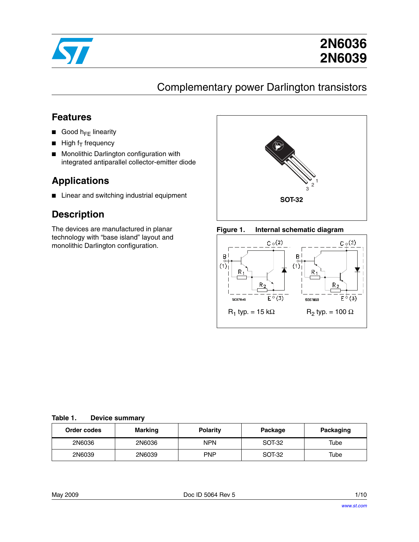

# **2N6036 2N6039**

# Complementary power Darlington transistors

### **Features**

- Good  $h_{FF}$  linearity
- $\blacksquare$  High f<sub>T</sub> frequency
- Monolithic Darlington configuration with integrated antiparallel collector-emitter diode

## **Applications**

■ Linear and switching industrial equipment

## **Description**

The devices are manufactured in planar technology with "base island" layout and monolithic Darlington configuration.







#### **Table 1. Device summary**

| Order codes | Marking | <b>Polarity</b> | Package | Packaging |
|-------------|---------|-----------------|---------|-----------|
| 2N6036      | 2N6036  | <b>NPN</b>      | SOT-32  | Tube      |
| 2N6039      | 2N6039  | <b>PNP</b>      | SOT-32  | Tube      |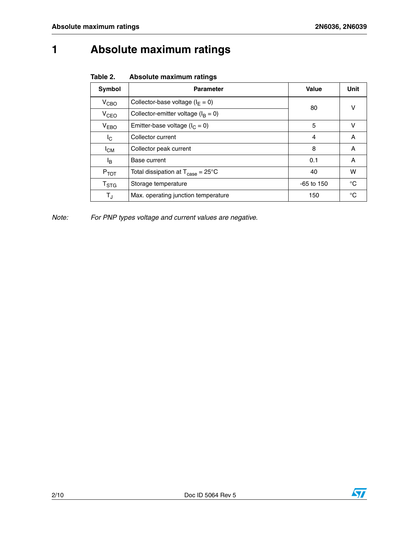# **1 Absolute maximum ratings**

| Table 2. |  | Absolute maximum ratings |  |
|----------|--|--------------------------|--|
|----------|--|--------------------------|--|

| Symbol                    | <b>Parameter</b>                                             | <b>Value</b> | Unit |
|---------------------------|--------------------------------------------------------------|--------------|------|
| V <sub>CBO</sub>          | Collector-base voltage ( $I_E = 0$ )                         | 80           |      |
| V <sub>CEO</sub>          | Collector-emitter voltage ( $I_B = 0$ )                      | v            |      |
| $V_{EBO}$                 | Emitter-base voltage ( $I_C = 0$ )                           | 5            | v    |
| I <sub>C</sub>            | Collector current                                            | 4            | Α    |
| $I_{CM}$                  | Collector peak current                                       | 8            | Α    |
| l <sub>B</sub>            | Base current                                                 | 0.1          | A    |
| $P_{TOT}$                 | Total dissipation at $T_{\text{case}} = 25^{\circ} \text{C}$ | 40           | w    |
| $\mathsf{T}_{\text{STG}}$ | Storage temperature                                          | $-65$ to 150 | °C   |
| $T_{\rm J}$               | Max. operating junction temperature                          | 150          | °C   |

*Note: For PNP types voltage and current values are negative.*

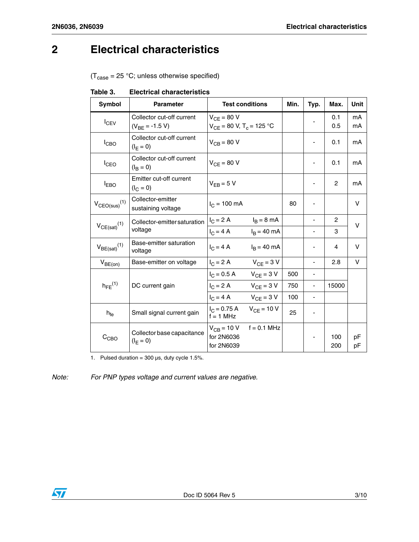## **2 Electrical characteristics**

 $(T_{\text{case}} = 25 \text{ °C};$  unless otherwise specified)

Table 3. **Electrical characteristics** 

| <b>Symbol</b>                 | <b>Parameter</b>                                 | <b>Test conditions</b>                                      |                 | Min. | Typ.                     | Max.           | Unit     |
|-------------------------------|--------------------------------------------------|-------------------------------------------------------------|-----------------|------|--------------------------|----------------|----------|
| I <sub>CEV</sub>              | Collector cut-off current<br>$(V_{BE} = -1.5 V)$ | $V_{CF}$ = 80 V<br>$V_{CE}$ = 80 V, T <sub>c</sub> = 125 °C |                 |      |                          | 0.1<br>0.5     | mA<br>mA |
| I <sub>CBO</sub>              | Collector cut-off current<br>$(I_F = 0)$         | $V_{CB} = 80 V$                                             |                 |      |                          | 0.1            | mA       |
| I <sub>CEO</sub>              | Collector cut-off current<br>$(I_{\rm B} = 0)$   | $V_{CF} = 80 V$                                             |                 |      |                          | 0.1            | mA       |
| <b>IEBO</b>                   | Emitter cut-off current<br>$(I_C = 0)$           | $V_{FB} = 5 V$                                              |                 |      |                          | $\overline{c}$ | mA       |
| $V_{CEO(sus)}$ <sup>(1)</sup> | Collector-emitter<br>sustaining voltage          | $I_C = 100 \text{ mA}$                                      |                 | 80   |                          |                | v        |
|                               | Collector-emitter saturation<br>voltage          | $I_C = 2 A$                                                 | $I_B = 8$ mA    |      | $\overline{\phantom{0}}$ | 2              | v        |
| $V_{CE(sat)}(1)$              |                                                  | $I_C = 4 A$                                                 | $I_B = 40$ mA   |      |                          | 3              |          |
| $V_{BE(sat)}(1)$              | Base-emitter saturation<br>voltage               | $I_C = 4 A$                                                 | $IB = 40$ mA    |      |                          | 4              | v        |
| $V_{BE(on)}$                  | Base-emitter on voltage                          | $IC = 2 A$                                                  | $V_{CF}$ = 3 V  |      | ÷,                       | 2.8            | v        |
| $h_{FE}$ <sup>(1)</sup>       | DC current gain                                  | $I_C = 0.5 A$                                               | $V_{CF} = 3 V$  | 500  |                          |                |          |
|                               |                                                  | $I_C = 2 A$                                                 | $V_{CF}$ = 3 V  | 750  |                          | 15000          |          |
|                               |                                                  | $I_C = 4 A$ $V_{CF} = 3 V$                                  |                 | 100  | ä,                       |                |          |
| $h_{fe}$                      | Small signal current gain                        | $I_C = 0.75 A$<br>$f = 1$ MHz                               | $V_{CF} = 10 V$ | 25   |                          |                |          |
| $C_{CBO}$                     | Collector base capacitance<br>$(I_F = 0)$        | $V_{CB}$ = 10 V<br>for 2N6036<br>for 2N6039                 | $f = 0.1$ MHz   |      |                          | 100<br>200     | pF<br>pF |

1. Pulsed duration =  $300 \,\mu s$ , duty cycle 1.5%.

*Note: For PNP types voltage and current values are negative.*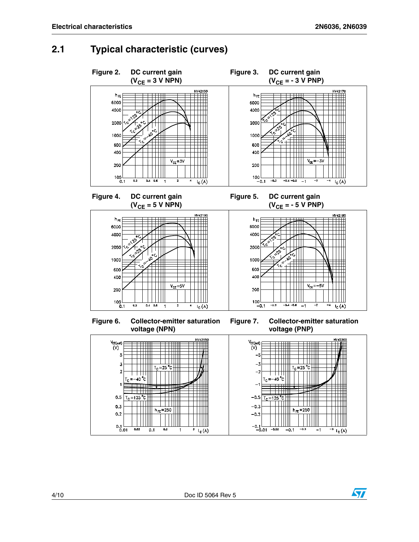ST

#### **2.1 Typical characteristic (curves)**



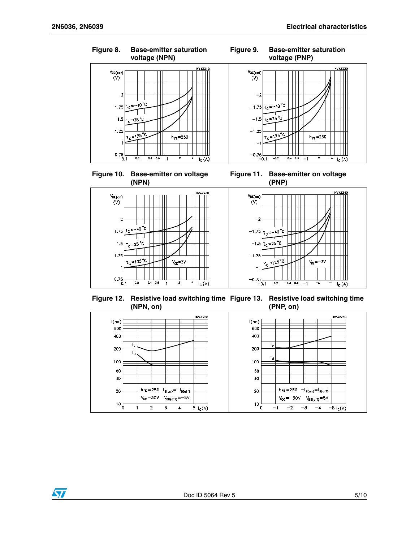$I_{C}$  $(A)$ 



**Figure 10. Base-emitter on voltage (NPN)**







**Figure 12. Resistive load switching time Figure 13. Resistive load switching time (NPN, on) (PNP, on)**



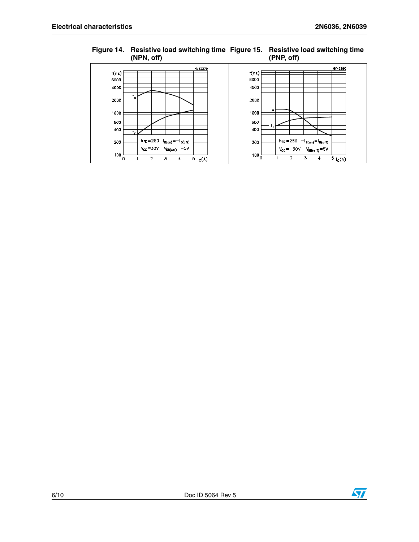

#### **Figure 14. Resistive load switching time Figure 15. Resistive load switching time (NPN, off) (PNP, off)**

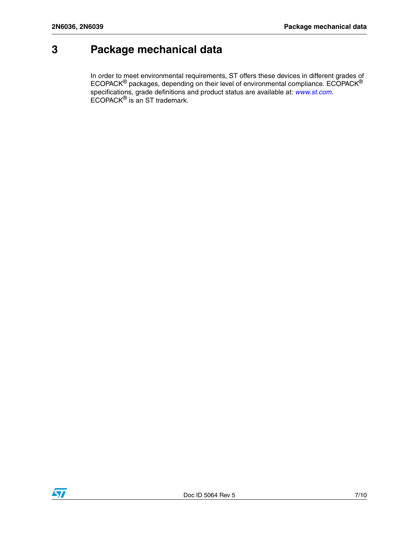## **3 Package mechanical data**

In order to meet environmental requirements, ST offers these devic[es in differen](http://www.st.com)t grades of ECOPACK $^{\circledR}$  packages, depending on their level of environmental compliance. ECOPACK $^{\circledR}$ specifications, grade definitions and product status are available at: *www.st.com*. ECOPACK® is an ST trademark.

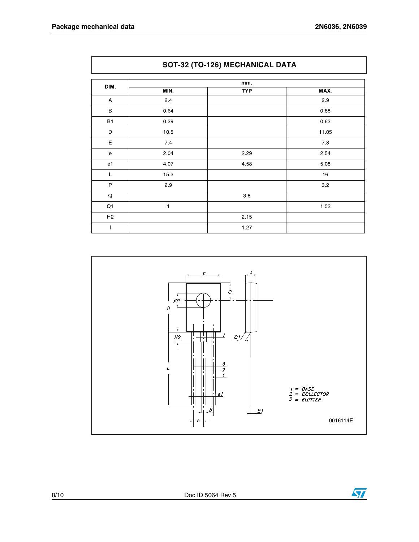$\sqrt{2}$ 

| DIM.           |         | mm.        |         |
|----------------|---------|------------|---------|
|                | MIN.    | <b>TYP</b> | MAX.    |
| A              | $2.4\,$ |            | 2.9     |
| B              | 0.64    |            | 0.88    |
| <b>B1</b>      | 0.39    |            | 0.63    |
| D              | 10.5    |            | 11.05   |
| $\mathsf E$    | 7.4     |            | $7.8\,$ |
| ${\bf e}$      | 2.04    | 2.29       | 2.54    |
| e <sub>1</sub> | 4.07    | 4.58       | 5.08    |
| L              | 15.3    |            | $16\,$  |
| P              | 2.9     |            | 3.2     |
| $\mathsf Q$    |         | 3.8        |         |
| $\mathsf{Q1}$  | 1       |            | 1.52    |
| H <sub>2</sub> |         | 2.15       |         |
|                |         | 1.27       |         |



#### SOT-32 (TO-126) MECHANICAL DATA

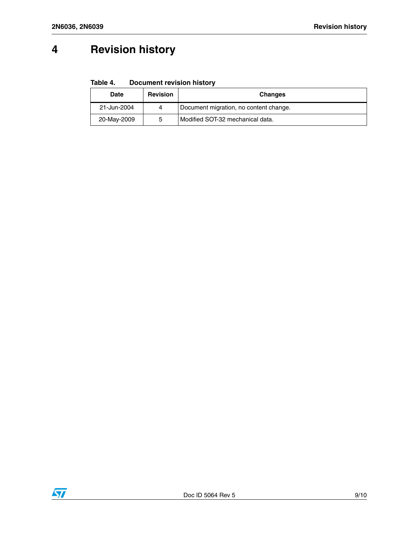# **4 Revision history**

**Table 4. Document revision history**

| Date        | <b>Revision</b> | <b>Changes</b>                         |
|-------------|-----------------|----------------------------------------|
| 21-Jun-2004 |                 | Document migration, no content change. |
| 20-May-2009 |                 | Modified SOT-32 mechanical data.       |